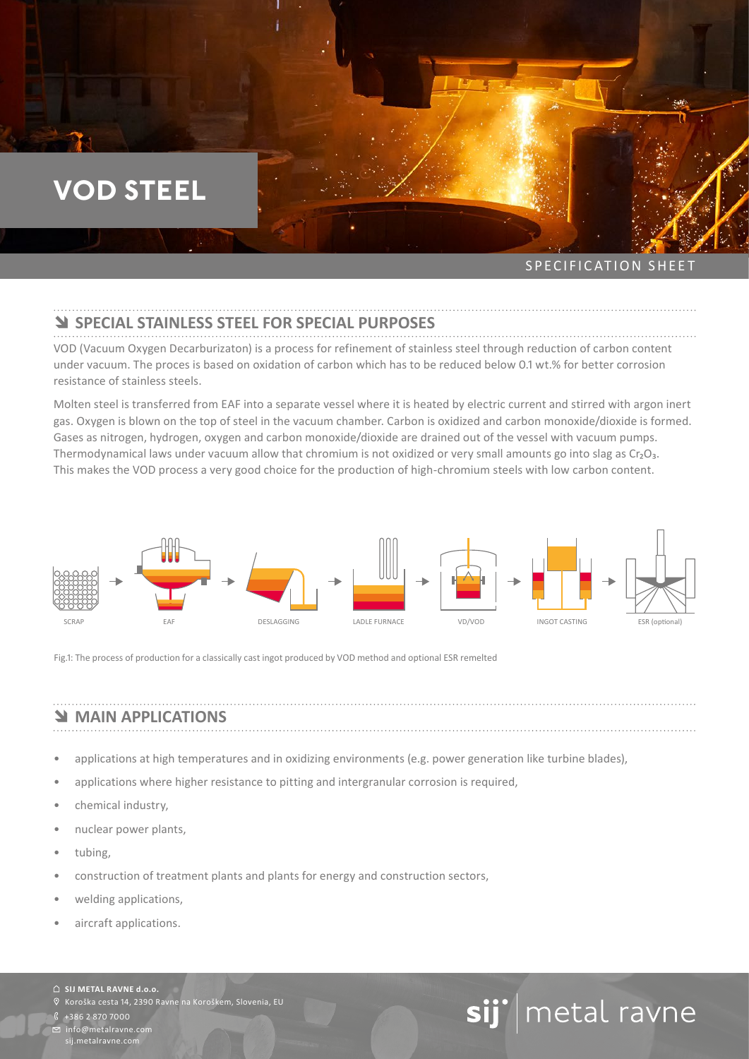## **VOD STEEL**

SPECIFICATION SHEET

### **Y SPECIAL STAINLESS STEEL FOR SPECIAL PURPOSES**

VOD (Vacuum Oxygen Decarburizaton) is a process for refinement of stainless steel through reduction of carbon content under vacuum. The proces is based on oxidation of carbon which has to be reduced below 0.1 wt.% for better corrosion resistance of stainless steels.

Molten steel is transferred from EAF into a separate vessel where it is heated by electric current and stirred with argon inert gas. Oxygen is blown on the top of steel in the vacuum chamber. Carbon is oxidized and carbon monoxide/dioxide is formed. Gases as nitrogen, hydrogen, oxygen and carbon monoxide/dioxide are drained out of the vessel with vacuum pumps. Thermodynamical laws under vacuum allow that chromium is not oxidized or very small amounts go into slag as  $Cr_2O_3$ . This makes the VOD process a very good choice for the production of high-chromium steels with low carbon content.



Fig.1: The process of production for a classically cast ingot produced by VOD method and optional ESR remelted

## **NAIN APPLICATIONS**

- applications at high temperatures and in oxidizing environments (e.g. power generation like turbine blades),
- applications where higher resistance to pitting and intergranular corrosion is required,
- chemical industry,
- nuclear power plants,
- tubing,
- construction of treatment plants and plants for energy and construction sectors,
- welding applications,
- aircraft applications.

#### **SIJ METAL RAVNE d.o.o.**

Koroška cesta 14, 2390 Ravne na Koroškem, Slovenia, EU

+386 2 870 7000

info@metalravne.com sij.metalravne.com

# sij'| metal ravne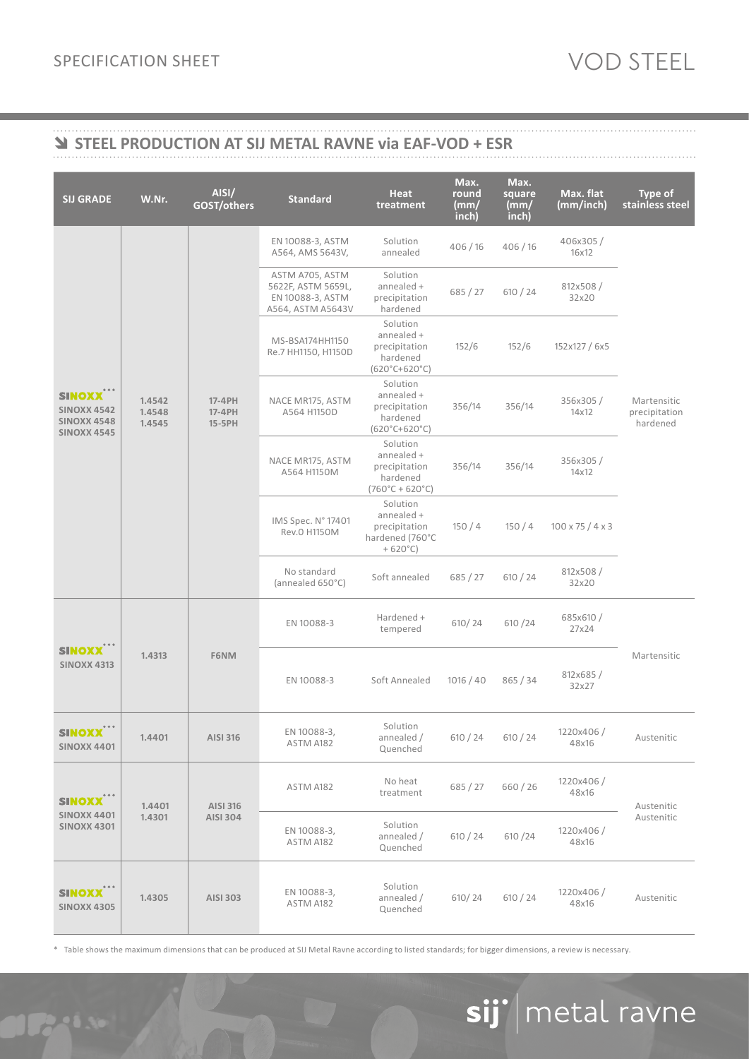## î **STEEL PRODUCTION AT SIJ METAL RAVNE via EAF-VOD + ESR**

| <b>SIJ GRADE</b>                                                                   | W.Nr.                      | AISI/<br>GOST/others          | <b>Standard</b>                                                                | Heat<br>treatment                                                                      | Max.<br>round<br>(mm)<br>inch) | Max.<br>square<br>(mm)<br>inch) | Max. flat<br>(mm/inch)       | <b>Type of</b><br>stainless steel        |
|------------------------------------------------------------------------------------|----------------------------|-------------------------------|--------------------------------------------------------------------------------|----------------------------------------------------------------------------------------|--------------------------------|---------------------------------|------------------------------|------------------------------------------|
| <b>SINOXX***</b><br><b>SINOXX 4542</b><br><b>SINOXX 4548</b><br><b>SINOXX 4545</b> | 1.4542<br>1.4548<br>1.4545 | 17-4PH<br>17-4PH<br>$15-5$ PH | EN 10088-3, ASTM<br>A564, AMS 5643V,                                           | Solution<br>annealed                                                                   | 406/16                         | 406/16                          | 406x305/<br>16x12            | Martensitic<br>precipitation<br>hardened |
|                                                                                    |                            |                               | ASTM A705, ASTM<br>5622F, ASTM 5659L,<br>EN 10088-3, ASTM<br>A564, ASTM A5643V | Solution<br>annealed +<br>precipitation<br>hardened                                    | 685 / 27                       | 610 / 24                        | 812x508/<br>32x20            |                                          |
|                                                                                    |                            |                               | MS-BSA174HH1150<br>Re.7 HH1150, H1150D                                         | Solution<br>annealed +<br>precipitation<br>hardened<br>$(620^{\circ}C + 620^{\circ}C)$ | 152/6                          | 152/6                           | 152x127 / 6x5                |                                          |
|                                                                                    |                            |                               | NACE MR175, ASTM<br>A564 H1150D                                                | Solution<br>annealed +<br>precipitation<br>hardened<br>$(620^{\circ}C + 620^{\circ}C)$ | 356/14                         | 356/14                          | 356x305/<br>14x12            |                                          |
|                                                                                    |                            |                               | NACE MR175, ASTM<br>A564 H1150M                                                | Solution<br>annealed +<br>precipitation<br>hardened<br>$(760^{\circ}C + 620^{\circ}C)$ | 356/14                         | 356/14                          | 356x305/<br>14x12            |                                          |
|                                                                                    |                            |                               | IMS Spec. N° 17401<br>Rev.0 H1150M                                             | Solution<br>annealed +<br>precipitation<br>hardened (760°C<br>$+620^{\circ}$ C)        | 150/4                          | 150/4                           | $100 \times 75 / 4 \times 3$ |                                          |
|                                                                                    |                            |                               | No standard<br>(annealed 650°C)                                                | Soft annealed                                                                          | 685/27                         | 610 / 24                        | 812x508/<br>32x20            |                                          |
| <b>SINOXX</b><br><b>SINOXX 4313</b>                                                | 1.4313                     | F6NM                          | EN 10088-3                                                                     | Hardened +<br>tempered                                                                 | 610/24                         | 610 / 24                        | 685x610/<br>27x24            | Martensitic                              |
|                                                                                    |                            |                               | EN 10088-3                                                                     | Soft Annealed                                                                          | 1016 / 40                      | 865/34                          | 812x685/<br>32x27            |                                          |
| 0 0 0<br><b>SINOXX</b><br><b>SINOXX 4401</b>                                       | 1.4401                     | <b>AISI 316</b>               | EN 10088-3,<br>ASTM A182                                                       | Solution<br>annealed /<br>Quenched                                                     | 610 / 24                       | 610 / 24                        | 1220x406/<br>48x16           | Austenitic                               |
| <b>SINOXX</b><br><b>SINOXX 4401</b><br><b>SINOXX 4301</b>                          | 1.4401<br>1.4301           | AISI 316<br>AISI 304          | ASTM A182                                                                      | No heat<br>treatment                                                                   | 685 / 27                       | 660/26                          | 1220x406/<br>48x16           | Austenitic<br>Austenitic                 |
|                                                                                    |                            |                               | EN 10088-3,<br>ASTM A182                                                       | Solution<br>annealed /<br>Quenched                                                     | 610 / 24                       | 610/24                          | 1220x406/<br>48x16           |                                          |
| <b>SINOXX***</b><br><b>SINOXX 4305</b>                                             | 1.4305                     | AISI 303                      | EN 10088-3,<br>ASTM A182                                                       | Solution<br>annealed /<br>Quenched                                                     | 610/24                         | 610 / 24                        | 1220x406/<br>48x16           | Austenitic                               |

\* Table shows the maximum dimensions that can be produced at SIJ Metal Ravne according to listed standards; for bigger dimensions, a review is necessary.

# sij'|metal ravne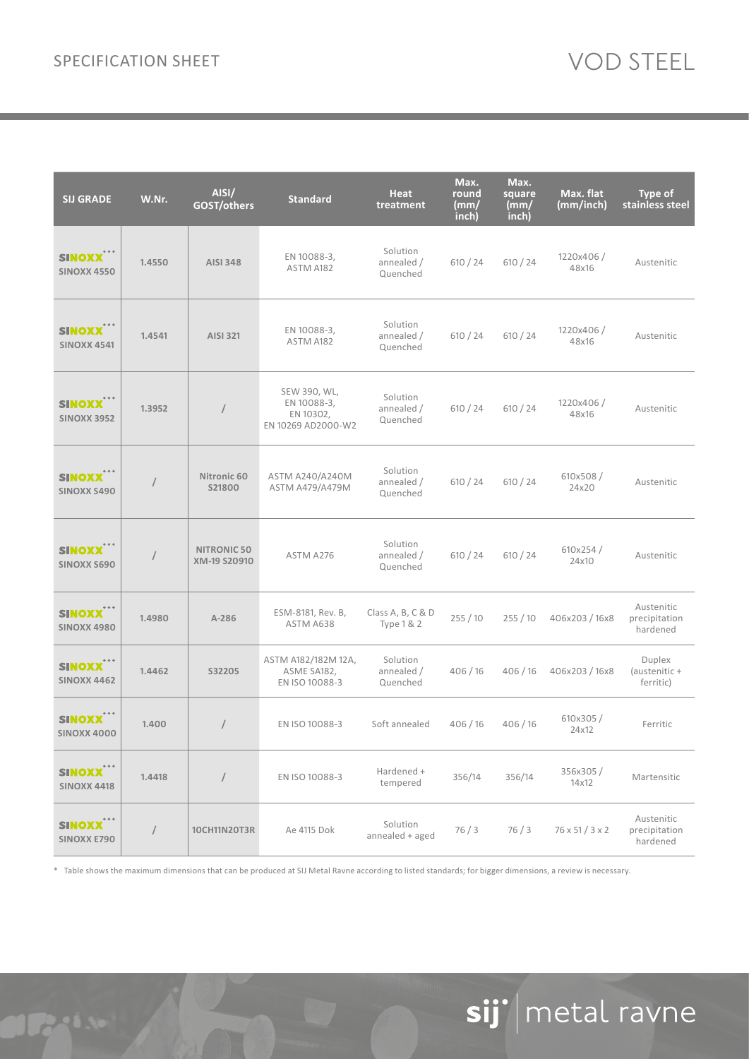| <b>SIJ GRADE</b>                                  | W.Nr.      | AISI/<br>GOST/others               | <b>Standard</b>                                                | <b>Heat</b><br>treatment           | Max.<br>round<br>(mm/<br>inch) | Max.<br>square<br>(mm/<br>inch) | Max. flat<br>(mm/inch)      | <b>Type of</b><br>stainless steel       |
|---------------------------------------------------|------------|------------------------------------|----------------------------------------------------------------|------------------------------------|--------------------------------|---------------------------------|-----------------------------|-----------------------------------------|
| <b>SINOXX</b><br><b>SINOXX 4550</b>               | 1.4550     | <b>AISI 348</b>                    | EN 10088-3,<br>ASTM A182                                       | Solution<br>annealed /<br>Quenched | 610 / 24                       | 610 / 24                        | 1220x406/<br>48x16          | Austenitic                              |
| SINOXX<br><b>SINOXX 4541</b>                      | 1.4541     | <b>AISI 321</b>                    | EN 10088-3,<br>ASTM A182                                       | Solution<br>annealed /<br>Quenched | 610 / 24                       | 610 / 24                        | 1220x406/<br>48x16          | Austenitic                              |
| <b>SINOXX<sup>***</sup></b><br><b>SINOXX 3952</b> | 1.3952     | $\sqrt{2}$                         | SEW 390, WL,<br>EN 10088-3,<br>EN 10302,<br>EN 10269 AD2000-W2 | Solution<br>annealed /<br>Quenched | 610 / 24                       | 610 / 24                        | 1220x406/<br>48x16          | Austenitic                              |
| <b>SINOXX<sup>**</sup></b><br><b>SINOXX S490</b>  | /          | Nitronic 60<br>S21800              | ASTM A240/A240M<br>ASTM A479/A479M                             | Solution<br>annealed /<br>Quenched | 610 / 24                       | 610 / 24                        | 610x508/<br>24x20           | Austenitic                              |
| <b>SINOXX</b><br><b>SINOXX S690</b>               | $\prime$   | <b>NITRONIC 50</b><br>XM-19 S20910 | ASTM A276                                                      | Solution<br>annealed /<br>Quenched | 610 / 24                       | 610 / 24                        | 610x254/<br>24x10           | Austenitic                              |
| <b>SINOXX***</b><br><b>SINOXX 4980</b>            | 1.4980     | A-286                              | ESM-8181, Rev. B,<br>ASTM A638                                 | Class A, B, C & D<br>Type $1 & 2$  | 255/10                         | 255/10                          | 406x203 / 16x8              | Austenitic<br>precipitation<br>hardened |
| <b>SINOXX<sup>***</sup></b><br><b>SINOXX 4462</b> | 1.4462     | S32205                             | ASTM A182/182M 12A,<br>ASME SA182,<br>EN ISO 10088-3           | Solution<br>annealed /<br>Quenched | 406/16                         | 406/16                          | 406x203 / 16x8              | Duplex<br>(austenitic +<br>ferritic)    |
| SINOXX<br><b>SINOXX 4000</b>                      | 1.400      | $\sqrt{2}$                         | EN ISO 10088-3                                                 | Soft annealed                      | 406/16                         | 406/16                          | 610x305/<br>24x12           | Ferritic                                |
| SINOXX <sup>***</sup><br><b>SINOXX 4418</b>       | 1.4418     | $\sqrt{2}$                         | EN ISO 10088-3                                                 | Hardened +<br>tempered             | 356/14                         | 356/14                          | 356x305/<br>14x12           | Martensitic                             |
| SINOXX <sup>***</sup><br><b>SINOXX E790</b>       | $\sqrt{2}$ | 10CH11N20T3R                       | Ae 4115 Dok                                                    | Solution<br>annealed + aged        | 76/3                           | 76/3                            | $76 \times 51 / 3 \times 2$ | Austenitic<br>precipitation<br>hardened |

\* Table shows the maximum dimensions that can be produced at SIJ Metal Ravne according to listed standards; for bigger dimensions, a review is necessary.

# sij' | metal ravne